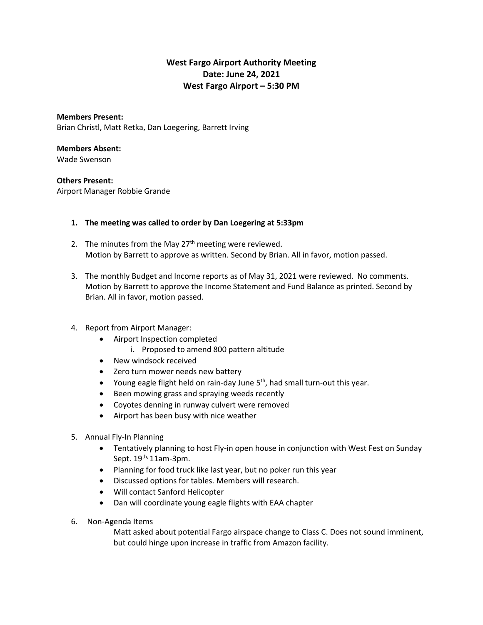# **West Fargo Airport Authority Meeting Date: June 24, 2021 West Fargo Airport – 5:30 PM**

**Members Present:** Brian Christl, Matt Retka, Dan Loegering, Barrett Irving

#### **Members Absent:**

Wade Swenson

### **Others Present:**

Airport Manager Robbie Grande

### **1. The meeting was called to order by Dan Loegering at 5:33pm**

- 2. The minutes from the May  $27<sup>th</sup>$  meeting were reviewed. Motion by Barrett to approve as written. Second by Brian. All in favor, motion passed.
- 3. The monthly Budget and Income reports as of May 31, 2021 were reviewed. No comments. Motion by Barrett to approve the Income Statement and Fund Balance as printed. Second by Brian. All in favor, motion passed.

## 4. Report from Airport Manager:

- Airport Inspection completed
	- i. Proposed to amend 800 pattern altitude
- New windsock received
- Zero turn mower needs new battery
- Young eagle flight held on rain-day June  $5<sup>th</sup>$ , had small turn-out this year.
- Been mowing grass and spraying weeds recently
- Coyotes denning in runway culvert were removed
- Airport has been busy with nice weather
- 5. Annual Fly-In Planning
	- Tentatively planning to host Fly-in open house in conjunction with West Fest on Sunday Sept.  $19^{th}$ , 11am-3pm.
	- Planning for food truck like last year, but no poker run this year
	- Discussed options for tables. Members will research.
	- Will contact Sanford Helicopter
	- Dan will coordinate young eagle flights with EAA chapter
- 6. Non-Agenda Items

Matt asked about potential Fargo airspace change to Class C. Does not sound imminent, but could hinge upon increase in traffic from Amazon facility.